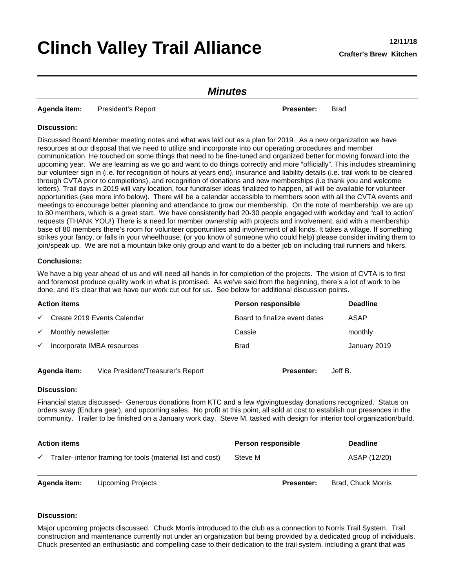# **Clinch Valley Trail Alliance 12/11/18**

### *Minutes*

**Agenda item:** President's Report **Presenter:** Brad

#### **Discussion:**

Discussed Board Member meeting notes and what was laid out as a plan for 2019. As a new organization we have resources at our disposal that we need to utilize and incorporate into our operating procedures and member communication. He touched on some things that need to be fine-tuned and organized better for moving forward into the upcoming year. We are learning as we go and want to do things correctly and more "officially". This includes streamlining our volunteer sign in (i.e. for recognition of hours at years end), insurance and liability details (i.e. trail work to be cleared through CVTA prior to completions), and recognition of donations and new memberships (i.e thank you and welcome letters). Trail days in 2019 will vary location, four fundraiser ideas finalized to happen, all will be available for volunteer opportunities (see more info below). There will be a calendar accessible to members soon with all the CVTA events and meetings to encourage better planning and attendance to grow our membership. On the note of membership, we are up to 80 members, which is a great start. We have consistently had 20-30 people engaged with workday and "call to action" requests (THANK YOU!) There is a need for member ownership with projects and involvement, and with a membership base of 80 members there's room for volunteer opportunities and involvement of all kinds. It takes a village. If something strikes your fancy, or falls in your wheelhouse, (or you know of someone who could help) please consider inviting them to join/speak up. We are not a mountain bike only group and want to do a better job on including trail runners and hikers.

#### **Conclusions:**

We have a big year ahead of us and will need all hands in for completion of the projects. The vision of CVTA is to first and foremost produce quality work in what is promised. As we've said from the beginning, there's a lot of work to be done, and it's clear that we have our work cut out for us. See below for additional discussion points.

| <b>Action items</b>                |                                   | Person responsible            | <b>Deadline</b> |
|------------------------------------|-----------------------------------|-------------------------------|-----------------|
| $\checkmark$                       | Create 2019 Events Calendar       | Board to finalize event dates | ASAP            |
| Monthly newsletter<br>$\checkmark$ |                                   | Cassie                        | monthly         |
| $\checkmark$                       | Incorporate IMBA resources        | <b>Brad</b>                   | January 2019    |
| Agenda item:                       | Vice President/Treasurer's Report | <b>Presenter:</b>             | Jeff B.         |

#### **Discussion:**

Financial status discussed- Generous donations from KTC and a few #givingtuesday donations recognized. Status on orders sway (Endura gear), and upcoming sales. No profit at this point, all sold at cost to establish our presences in the community. Trailer to be finished on a January work day. Steve M. tasked with design for interior tool organization/build.

| <b>Action items</b> |                                                              | Person responsible | <b>Deadline</b> |
|---------------------|--------------------------------------------------------------|--------------------|-----------------|
|                     | Trailer- interior framing for tools (material list and cost) | Steve M            | ASAP (12/20)    |

**Agenda item:** Upcoming Projects **Presenter:** Brad, Chuck Morris

#### **Discussion:**

Major upcoming projects discussed. Chuck Morris introduced to the club as a connection to Norris Trail System. Trail construction and maintenance currently not under an organization but being provided by a dedicated group of individuals. Chuck presented an enthusiastic and compelling case to their dedication to the trail system, including a grant that was